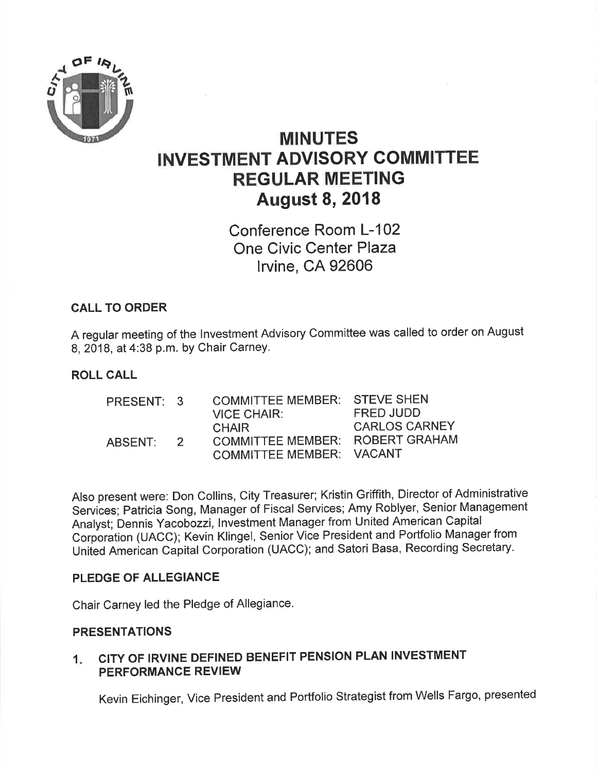

# MINUTES INVESTMENT ADVISORY COMMITTEE REGULAR MEETING August 8, 2018

Conference Room L-102 One Civic Center Plaza lrvine, CA 92606

## CALL TO ORDER

A regular meeting of the lnvestment Advisory Committee was called to order on August 8,2018, at 4:38 p.m. bY Chair CarneY.

#### ROLL CALL

| PRESENT: 3 |               | <b>COMMITTEE MEMBER: STEVE SHEN</b> |                      |
|------------|---------------|-------------------------------------|----------------------|
|            |               | <b>VICE CHAIR:</b>                  | FRED JUDD            |
|            |               | <b>CHAIR</b>                        | <b>CARLOS CARNEY</b> |
| ABSENT:    | $\mathcal{P}$ | COMMITTEE MEMBER: ROBERT GRAHAM     |                      |
|            |               | COMMITTEE MEMBER: VACANT            |                      |

Also present were: Don Collins, City Treasurer; Kristin Griffith, Director of Administrative Services; Patricia Song, Manager of Fiscal Services; Amy Roblyer, Senior Management Analyst; Dennis Yacobozzi, lnvestment Manager from United American Capital Corporation (UACC); Kevin Klingel, Senior Vice President and Portfolio Manager from Uniied American Capital Corporation (UACC); and Satori Basa, Recording Secretary.

#### PLEDGE OF ALLEGIANCE

Chair Carney led the Pledge of Allegiance.

#### PRESENTATIONS

#### CITY OF IRVINE DEFINED BENEFIT PENSION PLAN INVESTMENT PERFORMANCE REVIEW  $1<sub>i</sub>$

Kevin Eichinger, Vice President and Portfolio Strategist from Wells Fargo, presented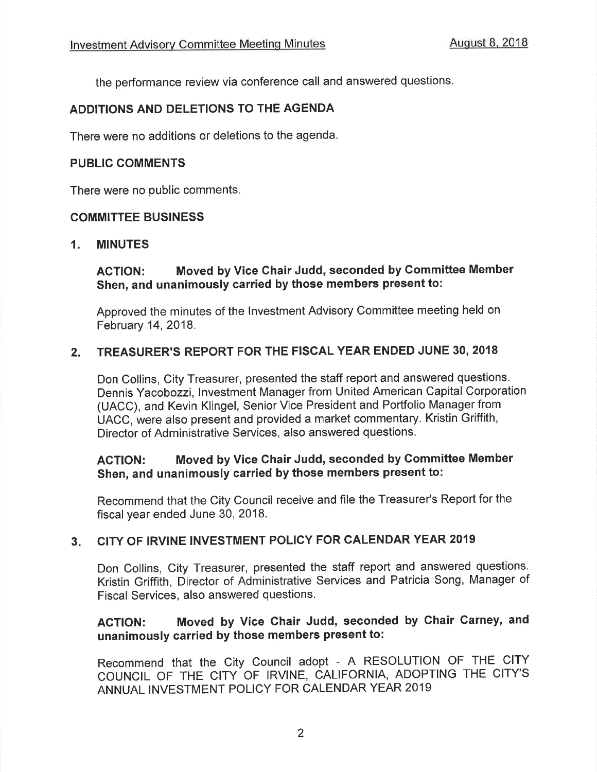the performance review via conference call and answered questions.

#### ADDITIONS AND DELETIONS TO THE AGENDA

There were no additions or deletions to the agenda.

#### PUBLIC COMMENTS

There were no public comments.

#### COMMITTEE BUSINESS

#### 1. MINUTES

## AGTION: Moved by Vice Chair Judd, seconded by Gommittee Member Shen, and unanimously carried by those members present to:

Approved the minutes of the lnvestment Advisory Committee meeting held on February 14,2018.

#### 2. TREASURER'S REPORT FOR THE FISCAL YEAR ENDED JUNE 30, <sup>2018</sup>

Don Collins, City Treasurer, presented the staff report and answered questions. Dennis Yacobozzi, lnvestment Manager from United American Capital Corporation (UACC), and Kevin Klingel, Senior Vice President and Portfolio Manager from UACC, were also present and provided a market commentary. Kristin Griffith, Director of Administrative Services, also answered questions.

#### ACTION: Moved by Vice Chair Judd, seconded by Committee Member Shen, and unanimously carried by those members present to:

Recommend that the City Council receive and file the Treasurer's Report for the fiscal year ended June 30, 2018.

#### CITY OF IRVINE INVESTMENT POLICY FOR CALENDAR YEAR 2019  $3<sub>r</sub>$

Don Collins, City Treasurer, presented the staff report and answered questions. Kristin Griffith, Director of Administrative Services and Patricia Song, Manager of Fiscal Services, also answered questions.

## AGTION: Moved by Vice Chair Judd, seconded by Chair Garney, and unanimously carried by those members present to:

Recommend that the City Council adopt - A RESOLUTION OF THE CITY COUNCIL OF THE CITY OF IRVINE, CALIFORNIA, ADOPTING THE CITY'S ANNUAL INVESTMENT POLICY FOR CALENDAR YEAR 2019